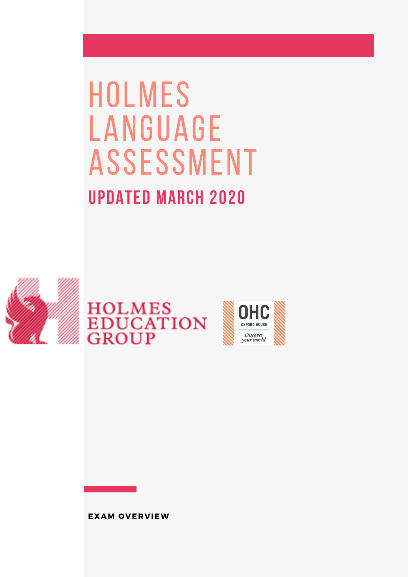# **HOLMES** language **ASSESSMENT** Updated march 2020



# HOLMES<br>EDUCATION<br>GROUP



EXAM O VERVIEW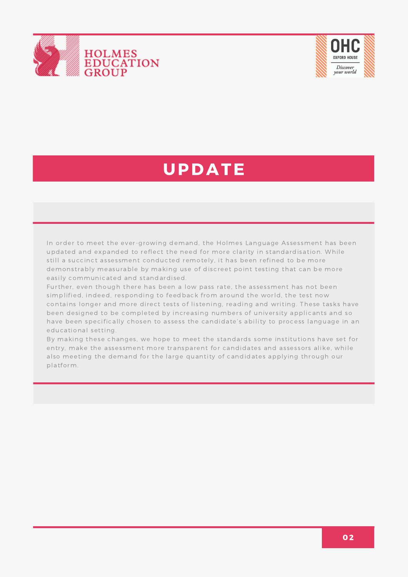



### UPDATE

In order to meet the ever-growing demand, the Holmes Language Assessment has been updated and expanded to reflect the need for more clarity in standardisation. While still a succinct assessment conducted remotely, it has been refined to be more demonstrably measurable by making use of discreet point testing that can be more easily communicated and standardised.

Further, even though there has been a low pass rate, the assessment has not been simplified, indeed, responding to feedback from around the world, the test now contains longer and more direct tests of listening, reading and writing. These tasks have been designed to be completed by increasing numbers of university applicants and so have been specifically chosen to assess the candidate's ability to process language in an educational setting.

By making these changes, we hope to meet the standards some institutions have set for entry, make the assessment more transparent for candidates and assessors alike, while also meeting the demand for the large quantity of candidates applying through our platform.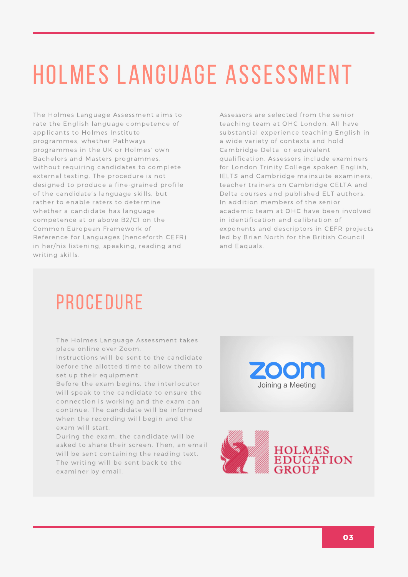### Holmes language assessment

The Holmes Language Assessment aims to rate the English language competence of applicants to Holmes Institute programmes, whether Pathways programmes in the UK or Holmes' own Bachelors and Masters programmes, without requiring candidates to complete external testing. The procedure is not designed to produce a fine-grained profile of the candidate's language skills, but rather to enable raters to determine whether a candidate has language competence at or above B2/C1 on the Common European Framework of Reference for Languages (henceforth CEFR) in her/his listening, speaking, reading and writing skills.

Assessors are selected from the senior teaching team at OHC London. All have substantial experience teaching English in a wide variety of contexts and hold Cambridge Delta or equivalent qualification. Assessors include examiners for London Trinity College spoken English, IELTS and Cambridge mainsuite examiners, teacher trainers on Cambridge CELTA and Delta courses and published ELT authors. In addition members of the senior academic team at OHC have been involved in identification and calibration of exponents and descriptors in CEFR projects led by Brian North for the British Council and Eaquals.

### **PROCEDURE**

The Holmes Language Assessment takes place online over Zoom.

Instructions will be sent to the candidate before the allotted time to allow them to set up their equipment.

Before the exam begins, the interlocutor will speak to the candidate to ensure the connection is working and the exam can continue. The candidate will be informed when the recording will begin and the exam will start.

During the exam, the candidate will be asked to share their screen. Then, an email will be sent containing the reading text. The writing will be sent back to the examiner by email.



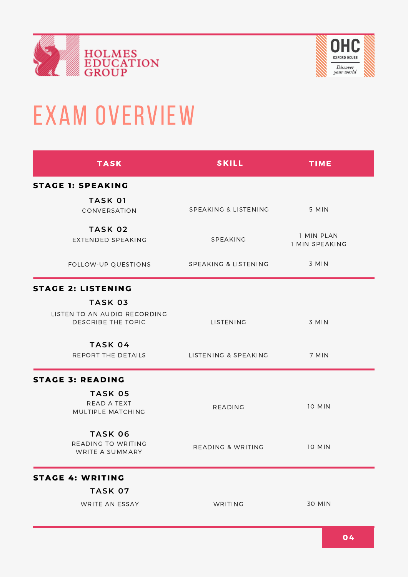



## EXAM OVERVIEW

| <b>TASK</b>                                                                 | <b>SKILL</b>         | <b>TIME</b>                  |
|-----------------------------------------------------------------------------|----------------------|------------------------------|
| <b>STAGE 1: SPEAKING</b>                                                    |                      |                              |
| <b>TASK 01</b><br>CONVERSATION                                              | SPEAKING & LISTENING | 5 MIN                        |
| <b>TASK 02</b><br>EXTENDED SPEAKING                                         | SPEAKING             | 1 MIN PLAN<br>1 MIN SPEAKING |
| FOLLOW-UP QUESTIONS                                                         | SPEAKING & LISTENING | $3$ MIN                      |
| <b>STAGE 2: LISTENING</b>                                                   |                      |                              |
| <b>TASK 03</b><br>LISTEN TO AN AUDIO RECORDING<br><b>DESCRIBE THE TOPIC</b> | LISTENING            | 3 MIN                        |
| TASK 04<br>REPORT THE DETAILS                                               | LISTENING & SPEAKING | 7 MIN                        |
| <b>STAGE 3: READING</b>                                                     |                      |                              |
| TASK 05<br>READ A TEXT<br>MULTIPLE MATCHING                                 | <b>READING</b>       | <b>10 MIN</b>                |
| <b>TASK 06</b><br>READING TO WRITING<br>WRITE A SUMMARY                     | READING & WRITING    | <b>10 MIN</b>                |
| <b>STAGE 4: WRITING</b>                                                     |                      |                              |
| TASK 07                                                                     |                      |                              |
| WRITE AN ESSAY                                                              | WRITING              | <b>30 MIN</b>                |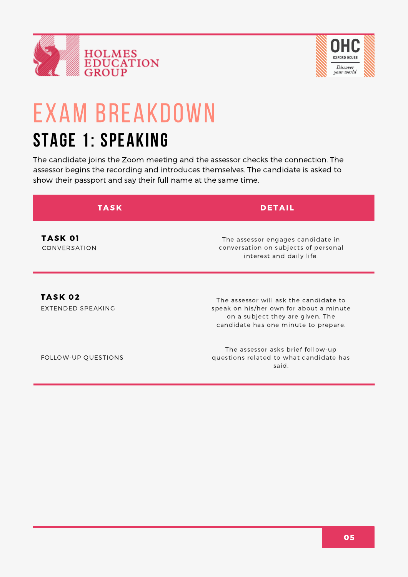



### exam Breakdown stage 1: Speaking

The candidate joins the Zoom meeting and the assessor checks the connection. The assessor begins the recording and introduces themselves. The candidate is asked to show their passport and say their full name at the same time.

| <b>TASK</b>                         | <b>DETAIL</b>                                                                                                         |
|-------------------------------------|-----------------------------------------------------------------------------------------------------------------------|
| <b>TASK 01</b><br>CONVERSATION      | The assessor engages candidate in<br>conversation on subjects of personal<br>interest and daily life.                 |
| <b>TASK 02</b><br>EXTENDED SPEAKING | The assessor will ask the candidate to<br>speak on his/her own for about a minute<br>on a subject they are given. The |

FOLLOW-UP QUESTIONS

The assessor asks brief follow-up questions related to what candidate has said.

candidate has one minute to prepare.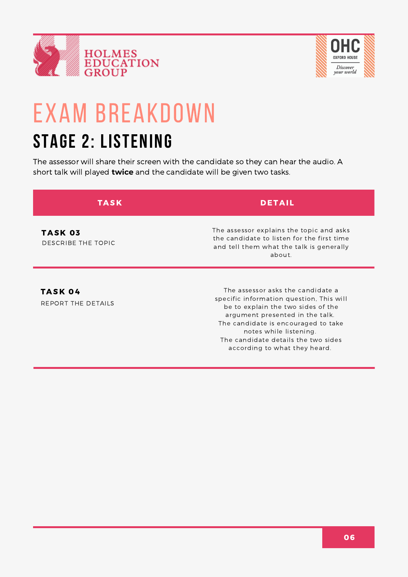



# exam Breakdown

### stage 2: listening

The assessor will share their screen with the candidate so they can hear the audio. A short talk will played **twice** and the candidate will be given two tasks.

| TASK                                 | <b>DETAIL</b>                                                                                                                                                                                                                                                                                   |
|--------------------------------------|-------------------------------------------------------------------------------------------------------------------------------------------------------------------------------------------------------------------------------------------------------------------------------------------------|
| <b>TASK 03</b><br>DESCRIBE THE TOPIC | The assessor explains the topic and asks<br>the candidate to listen for the first time<br>and tell them what the talk is generally<br>about.                                                                                                                                                    |
| TASK 04<br>REPORT THE DETAILS        | The assessor asks the candidate a<br>specific information question, This will<br>be to explain the two sides of the<br>argument presented in the talk.<br>The candidate is encouraged to take<br>notes while listening.<br>The candidate details the two sides<br>according to what they heard. |

06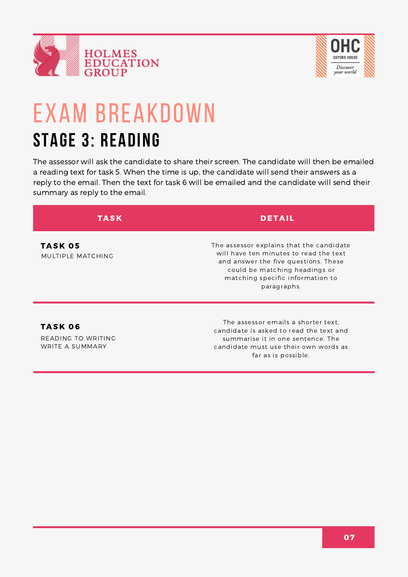



### exam Breakdown stage 3: reading

The assessor will ask the candidate to share their screen. The candidate will then be emailed a reading text for task 5. When the time is up, the candidate will send their answers as a reply to the email. Then the text for task 6 will be emailed and the candidate will send their summary as reply to the email.

| TASK                                 | <b>DETAIL</b>                                                                                                                                                                                                  |
|--------------------------------------|----------------------------------------------------------------------------------------------------------------------------------------------------------------------------------------------------------------|
| <b>TASK 05</b><br>MULTIPLE MATCHING  | The assessor explains that the candidate<br>will have ten minutes to read the text<br>and answer the five questions. These<br>could be matching headings or<br>matching specific information to<br>paragraphs. |
| <b>TASK 06</b><br>DEADING TO WOLTIMO | The assessor emails a shorter text.<br>candidate is asked to read the text and<br>control control of the formal control of the control of the film of                                                          |

READING TO WRITING WRITE A SUMMARY

summarise it in one sentence. The candidate must use their own words as far as is possible.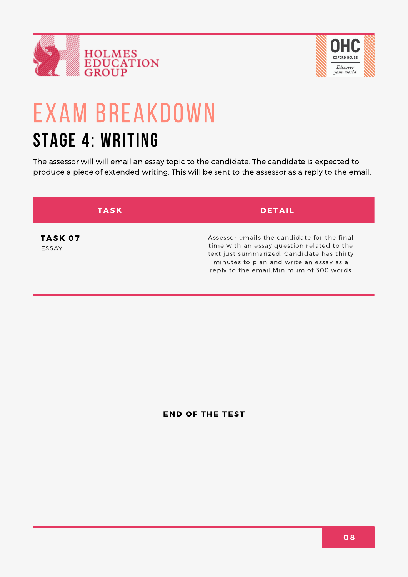



### exam Breakdown stage 4: writing

The assessor will will email an essay topic to the candidate. The candidate is expected to produce a piece of extended writing. This will be sent to the assessor as a reply to the email.

| <b>TASK</b>             | <b>DETAIL</b>                                                                                                                                                                                                                 |
|-------------------------|-------------------------------------------------------------------------------------------------------------------------------------------------------------------------------------------------------------------------------|
| <b>TASK 07</b><br>ESSAY | Assessor emails the candidate for the final<br>time with an essay question related to the<br>text just summarized. Candidate has thirty<br>minutes to plan and write an essay as a<br>reply to the email.Minimum of 300 words |

**END OF THE TEST**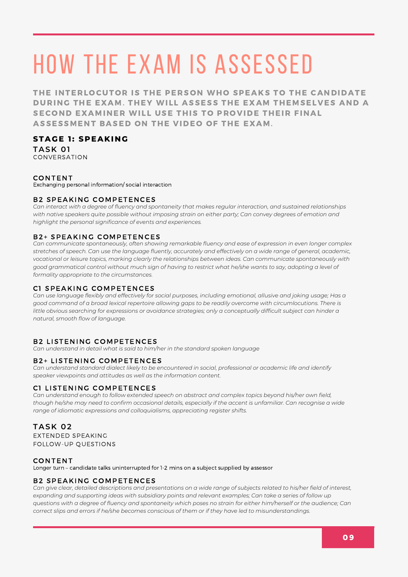THE INTERLOCUTOR IS THE PERSON WHO SPEAKS TO THE CANDIDATE DURING THE EXAM. THEY WILL ASSESS THE EXAM THEMSELVES AND A SECOND EXAMINER WILL USE THIS TO PROVIDE THEIR FINAL ASSESSMENT BASED ON THE VIDEO OF THE EXAM.

#### **STAGE 1 : SPEAKI N G**

**TASK 01** CONVERSATION

#### **CONTENT**

Exchanging personal information/ social interaction

#### **B2 SPEAKING COMPETENCES**

Can interact with a degree of fluency and spontaneity that makes regular interaction, and sustained relationships with native speakers quite possible without imposing strain on either party; Can convey degrees of emotion and *highlight the personal significance of events and experiences.*

#### **B2+ SPEAKING COMPETENCES**

*Can communicate spontaneously, often showing remarkable fluency and ease of expression in even longer complex* stretches of speech. Can use the language fluently, accurately and effectively on a wide range of general, academic, *vocational or leisure topics, marking clearly the relationships between ideas. Can communicate spontaneously with* good grammatical control without much sign of having to restrict what he/she wants to say, adopting a level of *formality appropriate to the circumstances.*

#### C1 SPEAKING COMPETENCES

Can use language flexibly and effectively for social purposes, including emotional, allusive and joking usage; Has a good command of a broad lexical repertoire allowing gaps to be readily overcome with circumlocutions. There is little obvious searching for expressions or avoidance strategies; only a conceptually difficult subject can hinder a *natural, smooth flow of language.*

#### **B2 LISTENING COMPETENCES**

*Can understand in detail what is said to him/her in the standard spoken language*

#### **B2+ LISTENING COMPETENCES**

*Can understand standard dialect likely to be encountered in social, professional or academic life and identify speaker viewpoints and attitudes as well as the information content.*

#### **C1 LISTENING COMPETENCES**

*Can understand enough to follow extended speech on abstract and complex topics beyond his/her own field,* though he/she may need to confirm occasional details, especially if the accent is unfamiliar. Can recognise a wide *range of idiomatic expressions and colloquialisms, appreciating register shifts.*

#### **TASK 02**

EXTENDED SPEAKING FOLLOW-UP QUESTIONS

#### **CONTENT**

Longer turn – candidate talks uninterrupted for 1-2 mins on a subject supplied by assessor

#### **B2 SPEAKING COMPETENCES**

Can give clear, detailed descriptions and presentations on a wide range of subjects related to his/her field of interest, expanding and supporting ideas with subsidiary points and relevant examples; Can take a series of follow up questions with a degree of fluency and spontaneity which poses no strain for either him/herself or the audience; Can *correct slips and errors if he/she becomes conscious of them or if they have led to misunderstandings.*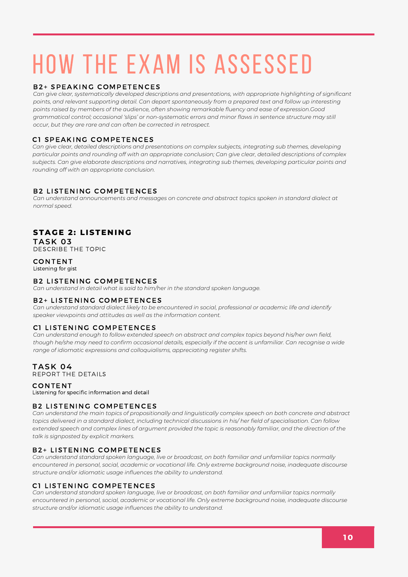#### **B2+ SPEAKING COMPETENCES**

*Can give clear, systematically developed descriptions and presentations, with appropriate highlighting of significant points, and relevant supporting detail. Can depart spontaneously from a prepared text and follow up interesting points raised by members of the audience, often showing remarkable fluency and ease of expression.Good grammatical control; occasional 'slips' or non-systematic errors and minor flaws in sentence structure may still occur, but they are rare and can often be corrected in retrospect.*

#### C1 SPEAKING COMPETENCES

*Can give clear, detailed descriptions and presentations on complex subjects, integrating sub themes, developing* particular points and rounding off with an appropriate conclusion; Can give clear, detailed descriptions of complex *subjects. Can give elaborate descriptions and narratives, integrating sub themes, developing particular points and rounding off with an appropriate conclusion.*

#### **B2 LISTENING COMPETENCES**

*Can understand announcements and messages on concrete and abstract topics spoken in standard dialect at normal speed.*

#### **STAGE 2: LISTENING**

**TASK 03** DESCRIBE THE TOPIC

#### **CONTENT**

Listening for gist

#### **B2 LISTENING COMPETENCES**

*Can understand in detail what is said to him/her in the standard spoken language.*

#### **B2+ LISTENING COMPETENCES**

*Can understand standard dialect likely to be encountered in social, professional or academic life and identify speaker viewpoints and attitudes as well as the information content.*

#### C1 LISTENING COMPETENCES

*Can understand enough to follow extended speech on abstract and complex topics beyond his/her own field,* though he/she may need to confirm occasional details, especially if the accent is unfamiliar. Can recognise a wide *range of idiomatic expressions and colloquialisms, appreciating register shifts.*

#### **TASK 04**

REPORT THE DETAILS

**CONTENT** 

Listening for specific information and detail

#### **B2 LISTENING COMPETENCES**

Can understand the main topics of propositionally and linguistically complex speech on both concrete and abstract topics delivered in a standard dialect, including technical discussions in his/her field of specialisation. Can follow extended speech and complex lines of argument provided the topic is reasonably familiar, and the direction of the *talk is signposted by explicit markers.*

#### **B2+ LISTENING COMPETENCES**

*Can understand standard spoken language, live or broadcast, on both familiar and unfamiliar topics normally encountered in personal, social, academic or vocational life. Only extreme background noise, inadequate discourse structure and/or idiomatic usage influences the ability to understand.*

#### C1 LISTENING COMPETENCES

*Can understand standard spoken language, live or broadcast, on both familiar and unfamiliar topics normally encountered in personal, social, academic or vocational life. Only extreme background noise, inadequate discourse structure and/or idiomatic usage influences the ability to understand.*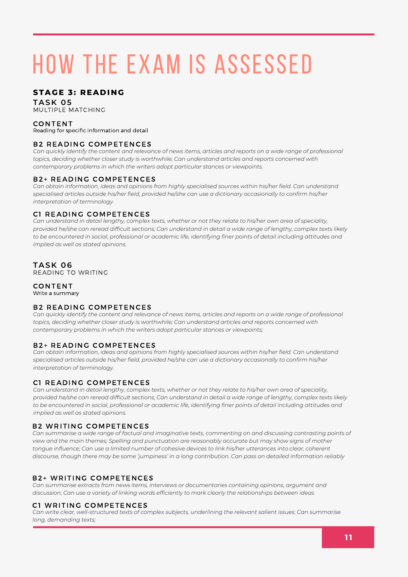#### **STAGE 3: READING**

#### **TASK 05**

MULTIPLE MATCHING

#### **CONTENT**

Reading for specific information and detail

#### **B2 READING COMPETENCES**

Can quickly identify the content and relevance of news items, articles and reports on a wide range of professional *topics, deciding whether closer study is worthwhile; Can understand articles and reports concerned with contemporary problems in which the writers adopt particular stances or viewpoints.*

#### **B2+ READING COMPETENCES**

*Can obtain information, ideas and opinions from highly specialised sources within his/her field. Can understand specialised articles outside his/her field, provided he/she can use a dictionary occasionally to confirm his/her interpretation of terminology.*

#### **C1 READING COMPETENCES**

Can understand in detail lengthy, complex texts, whether or not they relate to his/her own area of speciality, provided he/she can reread difficult sections; Can understand in detail a wide range of lengthy, complex texts likely to be encountered in social, professional or academic life, identifying finer points of detail including attitudes and *implied as well as stated opinions.*

#### **TASK 06**

READING TO WRITING

#### **CONTENT** Write a summary

#### **B2 READING COMPETENCES**

Can quickly identify the content and relevance of news items, articles and reports on a wide range of professional *topics, deciding whether closer study is worthwhile; Can understand articles and reports concerned with contemporary problems in which the writers adopt particular stances or viewpoints;*

#### **B2+ READING COMPETENCES**

*Can obtain information, ideas and opinions from highly specialised sources within his/her field. Can understand specialised articles outside his/her field, provided he/she can use a dictionary occasionally to confirm his/her interpretation of terminology.*

#### C1 READING COMPETENCES

Can understand in detail lengthy, complex texts, whether or not they relate to his/her own area of speciality, provided he/she can reread difficult sections; Can understand in detail a wide range of lengthy, complex texts likely to be encountered in social, professional or academic life, identifying finer points of detail including attitudes and *implied as well as stated opinions.*

#### **B2 WRITING COMPETENCES**

Can summarise a wide range of factual and imaginative texts, commenting on and discussing contrasting points of *view and the main themes; Spelling and punctuation are reasonably accurate but may show signs of mother* tonque influence; Can use a limited number of cohesive devices to link his/her utterances into clear, coherent discourse, though there may be some 'jumpiness' in a long contribution. Can pass on detailed information reliably

#### **B2+ WRITING COMPETENCES**

*Can summarise extracts from news items, interviews or documentaries containing opinions, argument and discussion; Can use a variety of linking words efficiently to mark clearly the relationships between ideas*

#### C1 WRITING COMPETENCES

*Can write clear, well-structured texts of complex subjects, underlining the relevant salient issues; Can summarise long, demanding texts;*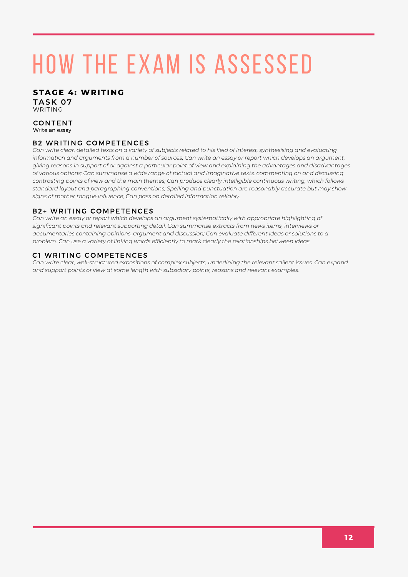#### **STAGE 4: WRITI N G**

**TASK 07** WRITING

#### **CONTENT** Write an essay

#### **B2 WRITING COMPETENCES**

Can write clear, detailed texts on a variety of subjects related to his field of interest, synthesising and evaluating information and arguments from a number of sources; Can write an essay or report which develops an argument, giving reasons in support of or against a particular point of view and explaining the advantages and disadvantages of various options; Can summarise a wide range of factual and imaginative texts, commenting on and discussing contrasting points of view and the main themes; Can produce clearly intelligible continuous writing, which follows *standard layout and paragraphing conventions; Spelling and punctuation are reasonably accurate but may show signs of mother tongue influence; Can pass on detailed information reliably.*

#### **B2+ WRITING COMPETENCES**

*Can write an essay or report which develops an argument systematically with appropriate highlighting of significant points and relevant supporting detail. Can summarise extracts from news items, interviews or documentaries containing opinions, argument and discussion; Can evaluate different ideas or solutions to a problem. Can use a variety of linking words efficiently to mark clearly the relationships between ideas*

#### C1 WRITING COMPETENCES

*Can write clear, well-structured expositions of complex subjects, underlining the relevant salient issues. Can expand and support points of view at some length with subsidiary points, reasons and relevant examples.*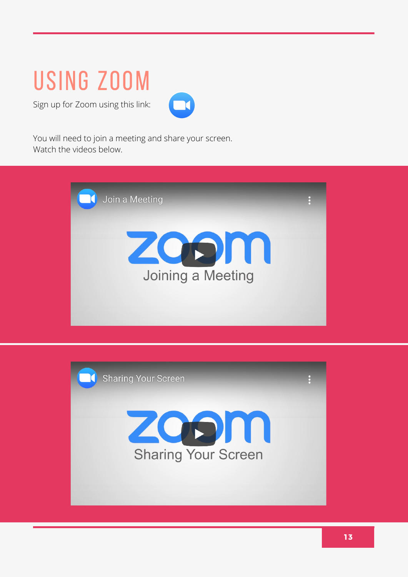### using zoom

Sign up for Zoom using this link:



You will need to join a meeting and share your screen. Watch the videos below.



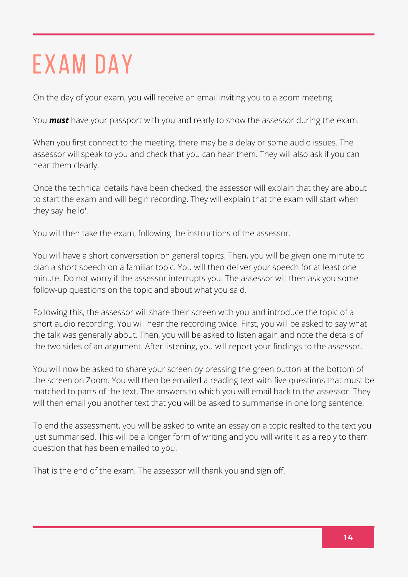# EXAM DAY

On the day of your exam, you will receive an email inviting you to a zoom meeting.

You *must* have your passport with you and ready to show the assessor during the exam.

When you first connect to the meeting, there may be a delay or some audio issues. The assessor will speak to you and check that you can hear them. They will also ask if you can hear them clearly.

Once the technical details have been checked, the assessor will explain that they are about to start the exam and will begin recording. They will explain that the exam will start when they say 'hello'.

You will then take the exam, following the instructions of the assessor.

You will have a short conversation on general topics. Then, you will be given one minute to plan a short speech on a familiar topic. You will then deliver your speech for at least one minute. Do not worry if the assessor interrupts you. The assessor will then ask you some follow-up questions on the topic and about what you said.

Following this, the assessor will share their screen with you and introduce the topic of a short audio recording. You will hear the recording twice. First, you will be asked to say what the talk was generally about. Then, you will be asked to listen again and note the details of the two sides of an argument. After listening, you will report your findings to the assessor.

You will now be asked to share your screen by pressing the green button at the bottom of the screen on Zoom. You will then be emailed a reading text with five questions that must be matched to parts of the text. The answers to which you will email back to the assessor. They will then email you another text that you will be asked to summarise in one long sentence.

To end the assessment, you will be asked to write an essay on a topic realted to the text you just summarised. This will be a longer form of writing and you will write it as a reply to them question that has been emailed to you.

That is the end of the exam. The assessor will thank you and sign off.